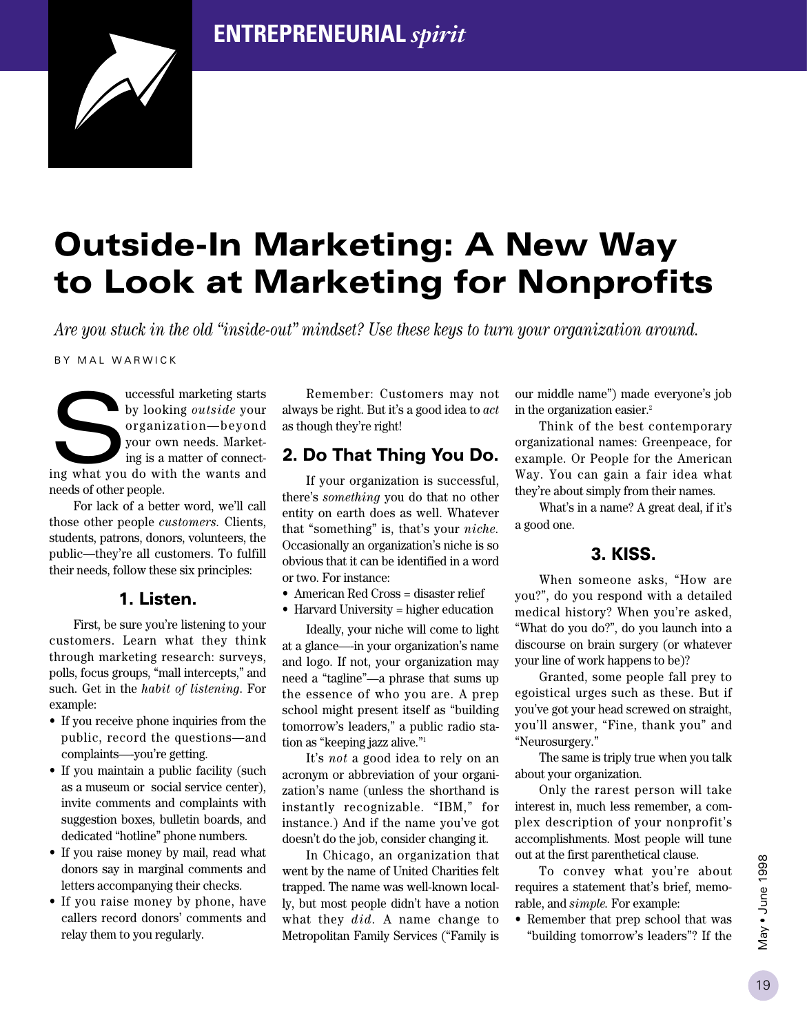## **ENTREPRENEURIAL** *spirit*



# **Outside-In Marketing: A New Way to Look at Marketing for Nonprofits**

*Are you stuck in the old "inside-out" mindset? Use these keys to turn your organization around.*

BY MAL WARWICK

uccessful marketing starts by looking *outside* your organization—beyond your own needs. Marketing is a matter of connectuccessful marketing starts<br>by looking *outside* your<br>organization—beyond<br>your own needs. Market-<br>ing what you do with the wants and needs of other people.

For lack of a better word, we'll call those other people *customers.* Clients, students, patrons, donors, volunteers, the public—they're all customers. To fulfill their needs, follow these six principles:

#### **1. Listen.**

First, be sure you're listening to your customers. Learn what they think through marketing research: surveys, polls, focus groups, "mall intercepts," and such. Get in the *habit of listening*. For example:

- If you receive phone inquiries from the public, record the questions—and complaints—-you're getting.
- If you maintain a public facility (such as a museum or social service center), invite comments and complaints with suggestion boxes, bulletin boards, and dedicated "hotline" phone numbers.
- If you raise money by mail, read what donors say in marginal comments and letters accompanying their checks.
- If you raise money by phone, have callers record donors' comments and relay them to you regularly.

Remember: Customers may not always be right. But it's a good idea to *act* as though they're right!

## **2. Do That Thing You Do.**

If your organization is successful, there's *something* you do that no other entity on earth does as well. Whatever that "something" is, that's your *niche.* Occasionally an organization's niche is so obvious that it can be identified in a word or two. For instance:

- American Red Cross = disaster relief
- Harvard University = higher education

Ideally, your niche will come to light at a glance—-in your organization's name and logo. If not, your organization may need a "tagline"—a phrase that sums up the essence of who you are. A prep school might present itself as "building tomorrow's leaders," a public radio station as "keeping jazz alive."1

It's *not* a good idea to rely on an acronym or abbreviation of your organization's name (unless the shorthand is instantly recognizable. "IBM," for instance.) And if the name you've got doesn't do the job, consider changing it.

In Chicago, an organization that went by the name of United Charities felt trapped. The name was well-known locally, but most people didn't have a notion what they *did.* A name change to Metropolitan Family Services ("Family is

our middle name") made everyone's job in the organization easier.2

Think of the best contemporary organizational names: Greenpeace, for example. Or People for the American Way. You can gain a fair idea what they're about simply from their names.

What's in a name? A great deal, if it's a good one.

#### **3. KISS.**

When someone asks, "How are you?", do you respond with a detailed medical history? When you're asked, "What do you do?", do you launch into a discourse on brain surgery (or whatever your line of work happens to be)?

Granted, some people fall prey to egoistical urges such as these. But if you've got your head screwed on straight, you'll answer, "Fine, thank you" and "Neurosurgery."

The same is triply true when you talk about your organization.

Only the rarest person will take interest in, much less remember, a complex description of your nonprofit's accomplishments. Most people will tune out at the first parenthetical clause.

To convey what you're about requires a statement that's brief, memorable, and *simple.* For example:

• Remember that prep school that was "building tomorrow's leaders"? If the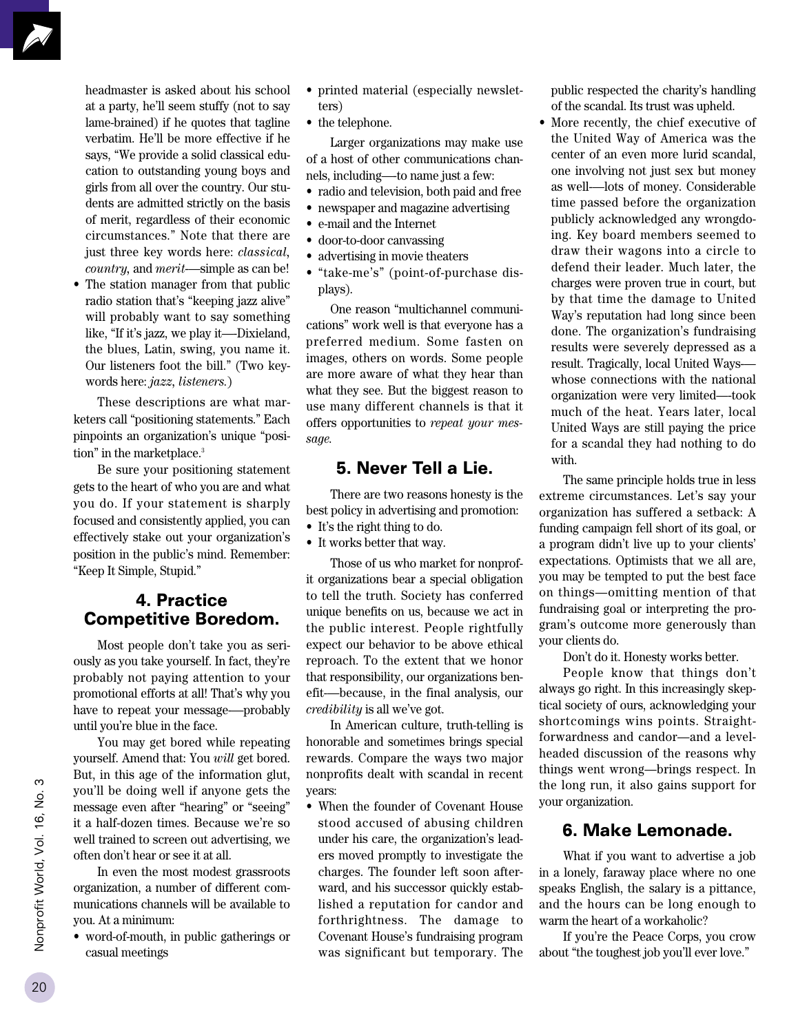headmaster is asked about his school at a party, he'll seem stuffy (not to say lame-brained) if he quotes that tagline verbatim. He'll be more effective if he says, "We provide a solid classical education to outstanding young boys and girls from all over the country. Our students are admitted strictly on the basis of merit, regardless of their economic circumstances." Note that there are just three key words here: *classical, country,* and *merit*-—simple as can be!

• The station manager from that public radio station that's "keeping jazz alive" will probably want to say something like, "If it's jazz, we play it—-Dixieland, the blues, Latin, swing, you name it. Our listeners foot the bill." (Two keywords here: *jazz, listeners.*)

These descriptions are what marketers call "positioning statements." Each pinpoints an organization's unique "position" in the marketplace.<sup>3</sup>

Be sure your positioning statement gets to the heart of who you are and what you do. If your statement is sharply focused and consistently applied, you can effectively stake out your organization's position in the public's mind. Remember: "Keep It Simple, Stupid."

#### **4. Practice Competitive Boredom.**

Most people don't take you as seriously as you take yourself. In fact, they're probably not paying attention to your promotional efforts at all! That's why you have to repeat your message-—probably until you're blue in the face.

You may get bored while repeating yourself. Amend that: You *will* get bored. But, in this age of the information glut, you'll be doing well if anyone gets the message even after "hearing" or "seeing" it a half-dozen times. Because we're so well trained to screen out advertising, we often don't hear or see it at all.

In even the most modest grassroots organization, a number of different communications channels will be available to you. At a minimum:

• word-of-mouth, in public gatherings or casual meetings

- printed material (especially newsletters)
- the telephone.

Larger organizations may make use of a host of other communications channels, including—-to name just a few:

- radio and television, both paid and free
- newspaper and magazine advertising
- e-mail and the Internet
- door-to-door canvassing
- advertising in movie theaters
- "take-me's" (point-of-purchase displays).

One reason "multichannel communications" work well is that everyone has a preferred medium. Some fasten on images, others on words. Some people are more aware of what they hear than what they see. But the biggest reason to use many different channels is that it offers opportunities to *repeat your message.*

#### **5. Never Tell a Lie.**

There are two reasons honesty is the best policy in advertising and promotion:

- It's the right thing to do.
- It works better that way.

Those of us who market for nonprofit organizations bear a special obligation to tell the truth. Society has conferred unique benefits on us, because we act in the public interest. People rightfully expect our behavior to be above ethical reproach. To the extent that we honor that responsibility, our organizations benefit-—because, in the final analysis, our *credibility* is all we've got.

In American culture, truth-telling is honorable and sometimes brings special rewards. Compare the ways two major nonprofits dealt with scandal in recent years:

• When the founder of Covenant House stood accused of abusing children under his care, the organization's leaders moved promptly to investigate the charges. The founder left soon afterward, and his successor quickly established a reputation for candor and forthrightness. The damage to Covenant House's fundraising program was significant but temporary. The

public respected the charity's handling of the scandal. Its trust was upheld.

• More recently, the chief executive of the United Way of America was the center of an even more lurid scandal, one involving not just sex but money as well-—lots of money. Considerable time passed before the organization publicly acknowledged any wrongdoing. Key board members seemed to draw their wagons into a circle to defend their leader. Much later, the charges were proven true in court, but by that time the damage to United Way's reputation had long since been done. The organization's fundraising results were severely depressed as a result. Tragically, local United Ways- whose connections with the national organization were very limited—-took much of the heat. Years later, local United Ways are still paying the price for a scandal they had nothing to do with.

The same principle holds true in less extreme circumstances. Let's say your organization has suffered a setback: A funding campaign fell short of its goal, or a program didn't live up to your clients' expectations. Optimists that we all are, you may be tempted to put the best face on things—omitting mention of that fundraising goal or interpreting the program's outcome more generously than your clients do.

Don't do it. Honesty works better.

People know that things don't always go right. In this increasingly skeptical society of ours, acknowledging your shortcomings wins points. Straightforwardness and candor—and a levelheaded discussion of the reasons why things went wrong—brings respect. In the long run, it also gains support for your organization.

#### **6. Make Lemonade.**

What if you want to advertise a job in a lonely, faraway place where no one speaks English, the salary is a pittance, and the hours can be long enough to warm the heart of a workaholic?

If you're the Peace Corps, you crow about "the toughest job you'll ever love."